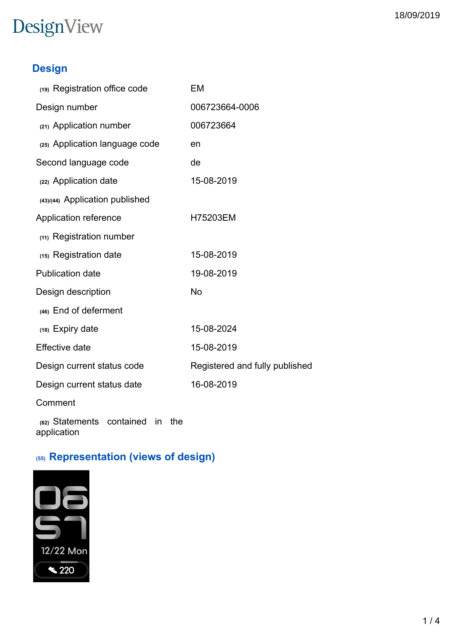# DesignView

## **Design**

| (19) Registration office code                         | EM                             |
|-------------------------------------------------------|--------------------------------|
| Design number                                         | 006723664-0006                 |
| (21) Application number                               | 006723664                      |
| (25) Application language code                        | en                             |
| Second language code                                  | de                             |
| (22) Application date                                 | 15-08-2019                     |
| (43)/(44) Application published                       |                                |
| Application reference                                 | H75203EM                       |
| (11) Registration number                              |                                |
| (15) Registration date                                | 15-08-2019                     |
| <b>Publication date</b>                               | 19-08-2019                     |
| Design description                                    | <b>No</b>                      |
| (46) End of deferment                                 |                                |
| (18) Expiry date                                      | 15-08-2024                     |
| <b>Effective date</b>                                 | 15-08-2019                     |
| Design current status code                            | Registered and fully published |
| Design current status date                            | 16-08-2019                     |
| Comment                                               |                                |
| (82) Statements contained<br>in<br>the<br>application |                                |

# **(55) Representation (views of design)**

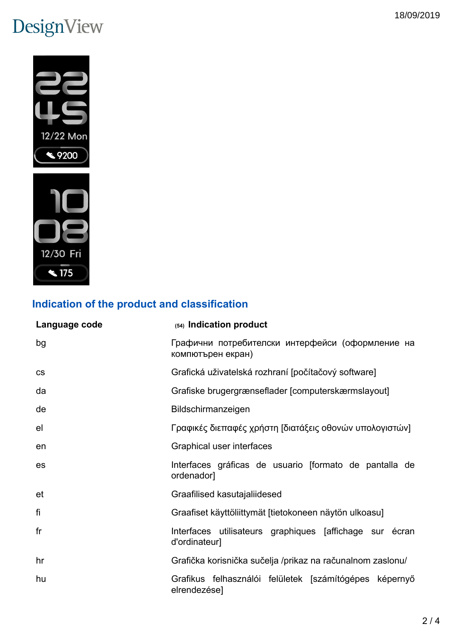# DesignView



## **Indication of the product and classification**

| Language code  | (54) Indication product                                                  |  |
|----------------|--------------------------------------------------------------------------|--|
| bg             | Графични потребителски интерфейси (оформление на<br>компютърен екран)    |  |
| <b>CS</b>      | Grafická uživatelská rozhraní [počítačový software]                      |  |
| da             | Grafiske brugergrænseflader [computerskærmslayout]                       |  |
| de             | Bildschirmanzeigen                                                       |  |
| e <sub>l</sub> | Γραφικές διεπαφές χρήστη [διατάξεις οθονών υπολογιστών]                  |  |
| en             | Graphical user interfaces                                                |  |
| es             | Interfaces gráficas de usuario [formato de pantalla de<br>ordenador]     |  |
| et             | Graafilised kasutajaliidesed                                             |  |
| fi             | Graafiset käyttöliittymät [tietokoneen näytön ulkoasu]                   |  |
| fr             | Interfaces utilisateurs graphiques [affichage sur écran<br>d'ordinateur] |  |
| hr             | Grafička korisnička sučelja /prikaz na računalnom zaslonu/               |  |
| hu             | Grafikus felhasználói felületek [számítógépes képernyő<br>elrendezése]   |  |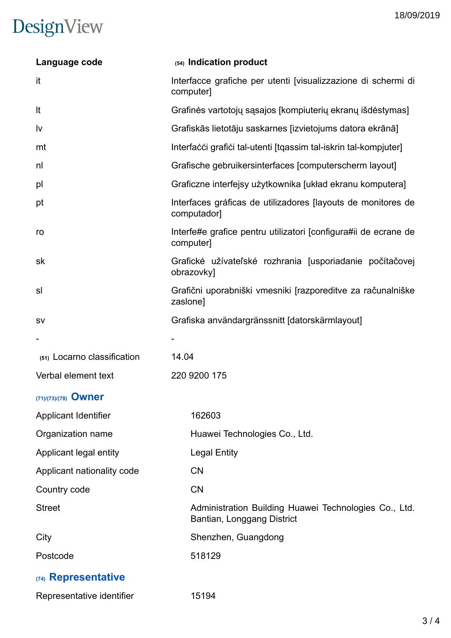# DesignView

| Language code               | (54) Indication product                                                             |
|-----------------------------|-------------------------------------------------------------------------------------|
| it                          | Interfacce grafiche per utenti [visualizzazione di schermi di<br>computer]          |
| It                          | Grafinės vartotojų sąsajos [kompiuterių ekranų išdėstymas]                          |
| Iv                          | Grafiskās lietotāju saskarnes [izvietojums datora ekrānā]                           |
| mt                          | Interfacci grafici tal-utenti [tqassim tal-iskrin tal-kompjuter]                    |
| nl                          | Grafische gebruikersinterfaces [computerscherm layout]                              |
| pl                          | Graficzne interfejsy użytkownika [układ ekranu komputera]                           |
| pt                          | Interfaces gráficas de utilizadores [layouts de monitores de<br>computador]         |
| ro                          | Interfe#e grafice pentru utilizatori [configura#ii de ecrane de<br>computer]        |
| sk                          | Grafické užívateľské rozhrania [usporiadanie počítačovej<br>obrazovky]              |
| sl                          | Grafični uporabniški vmesniki [razporeditve za računalniške<br>zaslone]             |
| SV                          | Grafiska användargränssnitt [datorskärmlayout]                                      |
|                             |                                                                                     |
| (51) Locarno classification | 14.04                                                                               |
| Verbal element text         | 220 9200 175                                                                        |
| (71)/(73)/(78) Owner        |                                                                                     |
| <b>Applicant Identifier</b> | 162603                                                                              |
| Organization name           | Huawei Technologies Co., Ltd.                                                       |
| Applicant legal entity      | <b>Legal Entity</b>                                                                 |
| Applicant nationality code  | <b>CN</b>                                                                           |
| Country code                | <b>CN</b>                                                                           |
| <b>Street</b>               | Administration Building Huawei Technologies Co., Ltd.<br>Bantian, Longgang District |
| City                        | Shenzhen, Guangdong                                                                 |
| Postcode                    | 518129                                                                              |
| (74) Representative         |                                                                                     |
| Representative identifier   | 15194                                                                               |